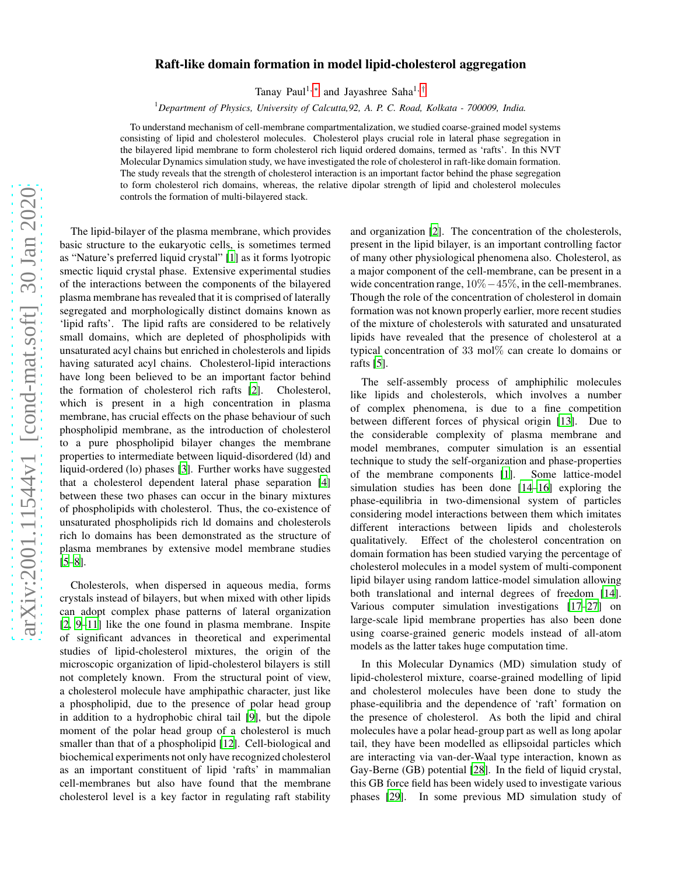## arXiv:2001.11544v1 [cond-mat.soft] 30 Jan 2020 [arXiv:2001.11544v1 \[cond-mat.soft\] 30 Jan 2020](http://arxiv.org/abs/2001.11544v1)

## Raft-like domain formation in model lipid-cholesterol aggregation

Tanay Paul<sup>1,[∗](#page-4-0)</sup> and Jayashree Saha<sup>1,[†](#page-4-1)</sup>

<sup>1</sup>*Department of Physics, University of Calcutta,92, A. P. C. Road, Kolkata - 700009, India.*

To understand mechanism of cell-membrane compartmentalization, we studied coarse-grained model systems consisting of lipid and cholesterol molecules. Cholesterol plays crucial role in lateral phase segregation in the bilayered lipid membrane to form cholesterol rich liquid ordered domains, termed as 'rafts'. In this NVT Molecular Dynamics simulation study, we have investigated the role of cholesterol in raft-like domain formation. The study reveals that the strength of cholesterol interaction is an important factor behind the phase segregation to form cholesterol rich domains, whereas, the relative dipolar strength of lipid and cholesterol molecules controls the formation of multi-bilayered stack.

The lipid-bilayer of the plasma membrane, which provides basic structure to the eukaryotic cells, is sometimes termed as "Nature's preferred liquid crystal" [\[1\]](#page-4-2) as it forms lyotropic smectic liquid crystal phase. Extensive experimental studies of the interactions between the components of the bilayered plasma membrane has revealed that it is comprised of laterally segregated and morphologically distinct domains known as 'lipid rafts'. The lipid rafts are considered to be relatively small domains, which are depleted of phospholipids with unsaturated acyl chains but enriched in cholesterols and lipids having saturated acyl chains. Cholesterol-lipid interactions have long been believed to be an important factor behind the formation of cholesterol rich rafts [\[2\]](#page-4-3). Cholesterol, which is present in a high concentration in plasma membrane, has crucial effects on the phase behaviour of such phospholipid membrane, as the introduction of cholesterol to a pure phospholipid bilayer changes the membrane properties to intermediate between liquid-disordered (ld) and liquid-ordered (lo) phases [\[3\]](#page-4-4). Further works have suggested that a cholesterol dependent lateral phase separation [\[4\]](#page-4-5) between these two phases can occur in the binary mixtures of phospholipids with cholesterol. Thus, the co-existence of unsaturated phospholipids rich ld domains and cholesterols rich lo domains has been demonstrated as the structure of plasma membranes by extensive model membrane studies [\[5](#page-4-6)[–8](#page-4-7)].

Cholesterols, when dispersed in aqueous media, forms crystals instead of bilayers, but when mixed with other lipids can adopt complex phase patterns of lateral organization [\[2](#page-4-3), [9](#page-4-8)[–11\]](#page-4-9) like the one found in plasma membrane. Inspite of significant advances in theoretical and experimental studies of lipid-cholesterol mixtures, the origin of the microscopic organization of lipid-cholesterol bilayers is still not completely known. From the structural point of view, a cholesterol molecule have amphipathic character, just like a phospholipid, due to the presence of polar head group in addition to a hydrophobic chiral tail [\[9\]](#page-4-8), but the dipole moment of the polar head group of a cholesterol is much smaller than that of a phospholipid [\[12\]](#page-4-10). Cell-biological and biochemical experiments not only have recognized cholesterol as an important constituent of lipid 'rafts' in mammalian cell-membranes but also have found that the membrane cholesterol level is a key factor in regulating raft stability

and organization [\[2](#page-4-3)]. The concentration of the cholesterols, present in the lipid bilayer, is an important controlling factor of many other physiological phenomena also. Cholesterol, as a major component of the cell-membrane, can be present in a wide concentration range, 10%−45%, in the cell-membranes. Though the role of the concentration of cholesterol in domain formation was not known properly earlier, more recent studies of the mixture of cholesterols with saturated and unsaturated lipids have revealed that the presence of cholesterol at a typical concentration of 33 mol% can create lo domains or rafts [\[5\]](#page-4-6).

The self-assembly process of amphiphilic molecules like lipids and cholesterols, which involves a number of complex phenomena, is due to a fine competition between different forces of physical origin [\[13\]](#page-4-11). Due to the considerable complexity of plasma membrane and model membranes, computer simulation is an essential technique to study the self-organization and phase-properties of the membrane components [\[1\]](#page-4-2). Some lattice-model simulation studies has been done [\[14](#page-4-12)[–16\]](#page-4-13) exploring the phase-equilibria in two-dimensional system of particles considering model interactions between them which imitates different interactions between lipids and cholesterols qualitatively. Effect of the cholesterol concentration on domain formation has been studied varying the percentage of cholesterol molecules in a model system of multi-component lipid bilayer using random lattice-model simulation allowing both translational and internal degrees of freedom [\[14](#page-4-12)]. Various computer simulation investigations [\[17](#page-4-14)[–27](#page-5-0)] on large-scale lipid membrane properties has also been done using coarse-grained generic models instead of all-atom models as the latter takes huge computation time.

In this Molecular Dynamics (MD) simulation study of lipid-cholesterol mixture, coarse-grained modelling of lipid and cholesterol molecules have been done to study the phase-equilibria and the dependence of 'raft' formation on the presence of cholesterol. As both the lipid and chiral molecules have a polar head-group part as well as long apolar tail, they have been modelled as ellipsoidal particles which are interacting via van-der-Waal type interaction, known as Gay-Berne (GB) potential [\[28](#page-5-1)]. In the field of liquid crystal, this GB force field has been widely used to investigate various phases [\[29](#page-5-2)]. In some previous MD simulation study of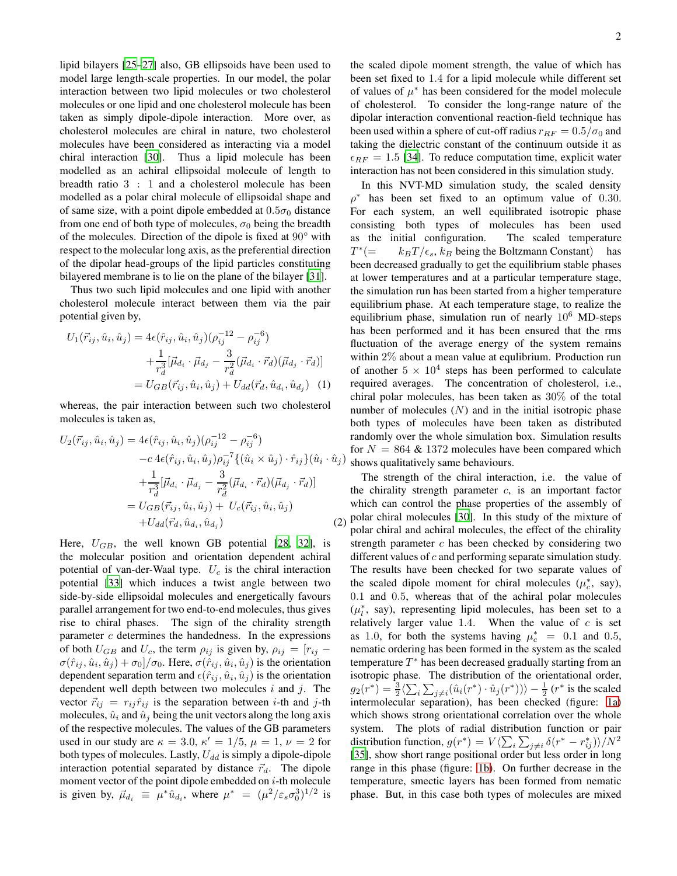lipid bilayers [\[25](#page-5-3)[–27\]](#page-5-0) also, GB ellipsoids have been used to model large length-scale properties. In our model, the polar interaction between two lipid molecules or two cholesterol molecules or one lipid and one cholesterol molecule has been taken as simply dipole-dipole interaction. More over, as cholesterol molecules are chiral in nature, two cholesterol molecules have been considered as interacting via a model chiral interaction [\[30\]](#page-5-4). Thus a lipid molecule has been modelled as an achiral ellipsoidal molecule of length to breadth ratio 3 : 1 and a cholesterol molecule has been modelled as a polar chiral molecule of ellipsoidal shape and of same size, with a point dipole embedded at  $0.5\sigma_0$  distance from one end of both type of molecules,  $\sigma_0$  being the breadth of the molecules. Direction of the dipole is fixed at 90° with respect to the molecular long axis, as the preferential direction of the dipolar head-groups of the lipid particles constituting bilayered membrane is to lie on the plane of the bilayer [\[31](#page-5-5)].

Thus two such lipid molecules and one lipid with another cholesterol molecule interact between them via the pair potential given by,

$$
U_1(\vec{r}_{ij}, \hat{u}_i, \hat{u}_j) = 4\epsilon(\hat{r}_{ij}, \hat{u}_i, \hat{u}_j)(\rho_{ij}^{-12} - \rho_{ij}^{-6}) + \frac{1}{r_d^3} [\vec{\mu}_{d_i} \cdot \vec{\mu}_{d_j} - \frac{3}{r_d^2} (\vec{\mu}_{d_i} \cdot \vec{r}_d)(\vec{\mu}_{d_j} \cdot \vec{r}_d)] = U_{GB}(\vec{r}_{ij}, \hat{u}_i, \hat{u}_j) + U_{dd}(\vec{r}_d, \hat{u}_{d_i}, \hat{u}_{d_j})
$$
(1)

whereas, the pair interaction between such two cholesterol molecules is taken as,

$$
U_{2}(\vec{r}_{ij}, \hat{u}_{i}, \hat{u}_{j}) = 4\epsilon(\hat{r}_{ij}, \hat{u}_{i}, \hat{u}_{j})(\rho_{ij}^{-12} - \rho_{ij}^{-6})
$$
  
\n
$$
-c 4\epsilon(\hat{r}_{ij}, \hat{u}_{i}, \hat{u}_{j})\rho_{ij}^{-7}\{(\hat{u}_{i} \times \hat{u}_{j}) \cdot \hat{r}_{ij}\}(\hat{u}_{i} \cdot \hat{u}_{j})
$$
  
\n
$$
+ \frac{1}{r_{d}^{3}}[\vec{\mu}_{d_{i}} \cdot \vec{\mu}_{d_{j}} - \frac{3}{r_{d}^{2}}(\vec{\mu}_{d_{i}} \cdot \vec{r}_{d})(\vec{\mu}_{d_{j}} \cdot \vec{r}_{d})]
$$
  
\n
$$
= U_{GB}(\vec{r}_{ij}, \hat{u}_{i}, \hat{u}_{j}) + U_{c}(\vec{r}_{ij}, \hat{u}_{i}, \hat{u}_{j})
$$
  
\n
$$
+ U_{dd}(\vec{r}_{d}, \hat{u}_{d_{i}}, \hat{u}_{d_{j}})
$$
 (2)

Here,  $U_{GB}$ , the well known GB potential [\[28](#page-5-1), [32\]](#page-5-6), is the molecular position and orientation dependent achiral potential of van-der-Waal type.  $U_c$  is the chiral interaction potential [\[33\]](#page-5-7) which induces a twist angle between two side-by-side ellipsoidal molecules and energetically favours parallel arrangement for two end-to-end molecules, thus gives rise to chiral phases. The sign of the chirality strength parameter  $c$  determines the handedness. In the expressions of both  $U_{GB}$  and  $U_c$ , the term  $\rho_{ij}$  is given by,  $\rho_{ij} = [r_{ij} \sigma(\hat{r}_{ij}, \hat{u}_i, \hat{u}_j) + \sigma_0$ ]/ $\sigma_0$ . Here,  $\sigma(\hat{r}_{ij}, \hat{u}_i, \hat{u}_j)$  is the orientation dependent separation term and  $\epsilon(\hat{r}_{ij}, \hat{u}_i, \hat{u}_j)$  is the orientation dependent well depth between two molecules  $i$  and  $j$ . The vector  $\vec{r}_{ij} = r_{ij} \hat{r}_{ij}$  is the separation between *i*-th and *j*-th molecules,  $\hat{u}_i$  and  $\hat{u}_j$  being the unit vectors along the long axis of the respective molecules. The values of the GB parameters used in our study are  $\kappa = 3.0$ ,  $\kappa' = 1/5$ ,  $\mu = 1$ ,  $\nu = 2$  for both types of molecules. Lastly,  $U_{dd}$  is simply a dipole-dipole interaction potential separated by distance  $\vec{r}_d$ . The dipole moment vector of the point dipole embedded on  $i$ -th molecule is given by,  $\vec{\mu}_{d_i} \equiv \mu^* \hat{u}_{d_i}$ , where  $\mu^* = (\mu^2/\varepsilon_s \sigma_0^3)^{1/2}$  is

the scaled dipole moment strength, the value of which has been set fixed to 1.4 for a lipid molecule while different set of values of  $\mu^*$  has been considered for the model molecule of cholesterol. To consider the long-range nature of the dipolar interaction conventional reaction-field technique has been used within a sphere of cut-off radius  $r_{RF} = 0.5/\sigma_0$  and taking the dielectric constant of the continuum outside it as  $\epsilon_{RF} = 1.5$  [\[34\]](#page-5-8). To reduce computation time, explicit water interaction has not been considered in this simulation study.

In this NVT-MD simulation study, the scaled density  $\rho^*$ has been set fixed to an optimum value of 0.30. For each system, an well equilibrated isotropic phase consisting both types of molecules has been used as the initial configuration. The scaled temperature T ∗  $k_BT/\epsilon_s$ ,  $k_B$  being the Boltzmann Constant) has been decreased gradually to get the equilibrium stable phases at lower temperatures and at a particular temperature stage, the simulation run has been started from a higher temperature equilibrium phase. At each temperature stage, to realize the equilibrium phase, simulation run of nearly  $10^6$  MD-steps has been performed and it has been ensured that the rms fluctuation of the average energy of the system remains within 2% about a mean value at equlibrium. Production run of another  $5 \times 10^4$  steps has been performed to calculate required averages. The concentration of cholesterol, i.e., chiral polar molecules, has been taken as 30% of the total number of molecules  $(N)$  and in the initial isotropic phase both types of molecules have been taken as distributed randomly over the whole simulation box. Simulation results for  $N = 864 \& 1372$  molecules have been compared which shows qualitatively same behaviours.

The strength of the chiral interaction, i.e. the value of the chirality strength parameter  $c$ , is an important factor which can control the phase properties of the assembly of polar chiral molecules [\[30\]](#page-5-4). In this study of the mixture of polar chiral and achiral molecules, the effect of the chirality strength parameter  $c$  has been checked by considering two different values of c and performing separate simulation study. The results have been checked for two separate values of the scaled dipole moment for chiral molecules  $(\mu_c^*$ , say), 0.1 and 0.5, whereas that of the achiral polar molecules  $(\mu_l^*$ , say), representing lipid molecules, has been set to a relatively larger value 1.4. When the value of  $c$  is set as 1.0, for both the systems having  $\mu_c^* = 0.1$  and 0.5, nematic ordering has been formed in the system as the scaled temperature  $T^*$  has been decreased gradually starting from an isotropic phase. The distribution of the orientational order,  $g_2(r^*) = \frac{3}{2} \langle \sum_i \sum_{j \neq i} (\hat{u}_i(r^*) \cdot \hat{u}_j(r^*)) \rangle - \frac{1}{2} (r^*)$  is the scaled intermolecular separation), has been checked (figure: [1a\)](#page-2-0) which shows strong orientational correlation over the whole system. The plots of radial distribution function or pair distribution function,  $g(r^*) = V \langle \sum_i \sum_{j \neq i} \delta(r^* - r^*_{ij}) \rangle / N^2$ [\[35](#page-5-9)], show short range positional order but less order in long range in this phase (figure: [1b\)](#page-2-0). On further decrease in the temperature, smectic layers has been formed from nematic phase. But, in this case both types of molecules are mixed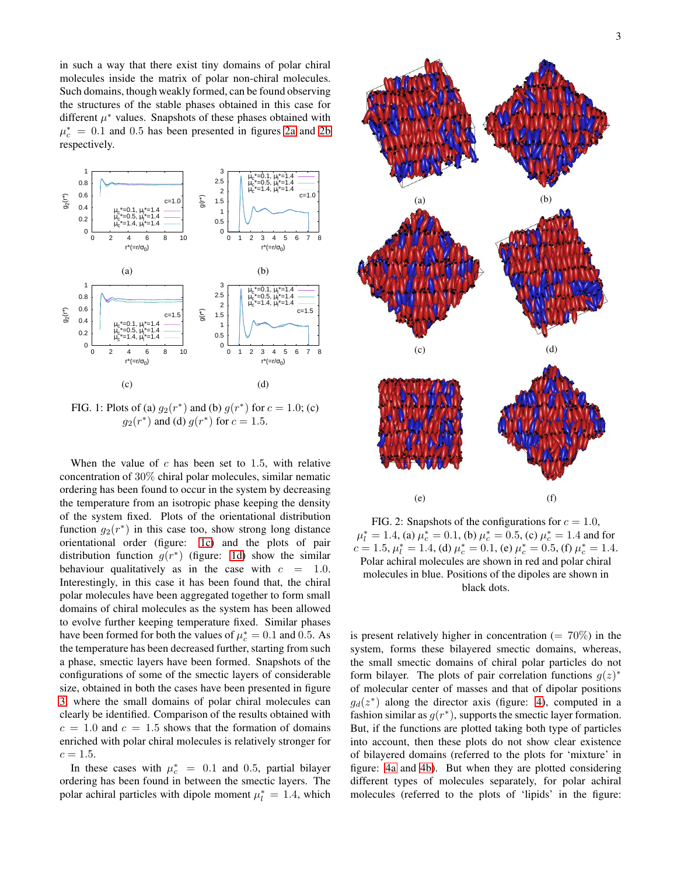in such a way that there exist tiny domains of polar chiral molecules inside the matrix of polar non-chiral molecules. Such domains, though weakly formed, can be found observing the structures of the stable phases obtained in this case for different  $\mu^*$  values. Snapshots of these phases obtained with  $\mu_c^* = 0.1$  and 0.5 has been presented in figures [2a](#page-2-1) and [2b](#page-2-1) respectively.

<span id="page-2-0"></span>

FIG. 1: Plots of (a)  $g_2(r^*)$  and (b)  $g(r^*)$  for  $c = 1.0$ ; (c)  $g_2(r^*)$  and (d)  $g(r^*)$  for  $c = 1.5$ .

When the value of  $c$  has been set to 1.5, with relative concentration of 30% chiral polar molecules, similar nematic ordering has been found to occur in the system by decreasing the temperature from an isotropic phase keeping the density of the system fixed. Plots of the orientational distribution function  $g_2(r^*)$  in this case too, show strong long distance orientational order (figure: [1c\)](#page-2-0) and the plots of pair distribution function  $g(r^*)$  (figure: [1d\)](#page-2-0) show the similar behaviour qualitatively as in the case with  $c = 1.0$ . Interestingly, in this case it has been found that, the chiral polar molecules have been aggregated together to form small domains of chiral molecules as the system has been allowed to evolve further keeping temperature fixed. Similar phases have been formed for both the values of  $\mu_c^* = 0.1$  and 0.5. As the temperature has been decreased further, starting from such a phase, smectic layers have been formed. Snapshots of the configurations of some of the smectic layers of considerable size, obtained in both the cases have been presented in figure [3,](#page-3-0) where the small domains of polar chiral molecules can clearly be identified. Comparison of the results obtained with  $c = 1.0$  and  $c = 1.5$  shows that the formation of domains enriched with polar chiral molecules is relatively stronger for  $c = 1.5.$ 

In these cases with  $\mu_c^* = 0.1$  and 0.5, partial bilayer ordering has been found in between the smectic layers. The polar achiral particles with dipole moment  $\mu_l^* = 1.4$ , which

<span id="page-2-1"></span>

FIG. 2: Snapshots of the configurations for  $c = 1.0$ ,  $\mu_l^* = 1.4$ , (a)  $\mu_c^* = 0.1$ , (b)  $\mu_c^* = 0.5$ , (c)  $\mu_c^* = 1.4$  and for  $c = 1.5, \mu_l^* = 1.4$ , (d)  $\mu_c^* = 0.1$ , (e)  $\mu_c^* = 0.5$ , (f)  $\mu_c^* = 1.4$ . Polar achiral molecules are shown in red and polar chiral molecules in blue. Positions of the dipoles are shown in black dots.

is present relatively higher in concentration  $(= 70\%)$  in the system, forms these bilayered smectic domains, whereas, the small smectic domains of chiral polar particles do not form bilayer. The plots of pair correlation functions  $g(z)^*$ of molecular center of masses and that of dipolar positions  $g_d(z^*)$  along the director axis (figure: [4\)](#page-3-1), computed in a fashion similar as  $g(r^*)$ , supports the smectic layer formation. But, if the functions are plotted taking both type of particles into account, then these plots do not show clear existence of bilayered domains (referred to the plots for 'mixture' in figure: [4a](#page-3-1) and [4b\)](#page-3-1). But when they are plotted considering different types of molecules separately, for polar achiral molecules (referred to the plots of 'lipids' in the figure: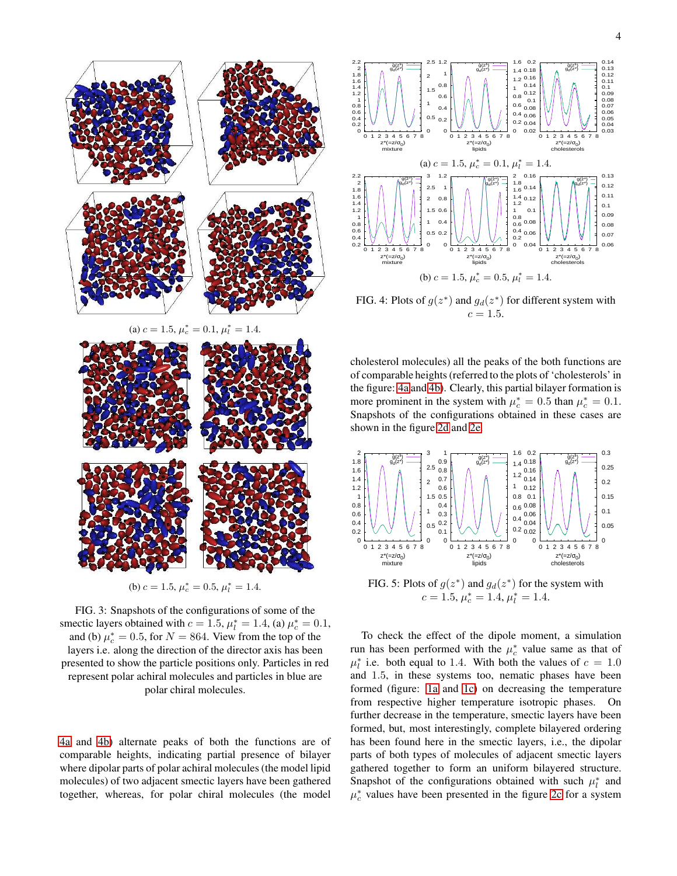<span id="page-3-0"></span>

(a)  $c = 1.5$ ,  $\mu_c^* = 0.1$ ,  $\mu_l^* = 1.4$ .



(b)  $c = 1.5$ ,  $\mu_c^* = 0.5$ ,  $\mu_l^* = 1.4$ .

FIG. 3: Snapshots of the configurations of some of the smectic layers obtained with  $c = 1.5$ ,  $\mu_l^* = 1.4$ , (a)  $\mu_c^* = 0.1$ , and (b)  $\mu_c^* = 0.5$ , for  $N = 864$ . View from the top of the layers i.e. along the direction of the director axis has been presented to show the particle positions only. Particles in red represent polar achiral molecules and particles in blue are polar chiral molecules.

[4a](#page-3-1) and [4b\)](#page-3-1) alternate peaks of both the functions are of comparable heights, indicating partial presence of bilayer where dipolar parts of polar achiral molecules (the model lipid molecules) of two adjacent smectic layers have been gathered together, whereas, for polar chiral molecules (the model

<span id="page-3-1"></span>

FIG. 4: Plots of  $g(z^*)$  and  $g_d(z^*)$  for different system with  $c = 1.5.$ 

cholesterol molecules) all the peaks of the both functions are of comparable heights (referred to the plots of 'cholesterols' in the figure: [4a](#page-3-1) and [4b\)](#page-3-1). Clearly, this partial bilayer formation is more prominent in the system with  $\mu_c^* = 0.5$  than  $\mu_c^* = 0.1$ . Snapshots of the configurations obtained in these cases are shown in the figure [2d](#page-2-1) and [2e.](#page-2-1)

<span id="page-3-2"></span>

FIG. 5: Plots of  $g(z^*)$  and  $g_d(z^*)$  for the system with  $c = 1.5, \mu_c^* = 1.4, \mu_l^* = 1.4.$ 

To check the effect of the dipole moment, a simulation run has been performed with the  $\mu_c^*$  value same as that of  $\mu_l^*$  i.e. both equal to 1.4. With both the values of  $c = 1.0$ and 1.5, in these systems too, nematic phases have been formed (figure: [1a](#page-2-0) and [1c\)](#page-2-0) on decreasing the temperature from respective higher temperature isotropic phases. On further decrease in the temperature, smectic layers have been formed, but, most interestingly, complete bilayered ordering has been found here in the smectic layers, i.e., the dipolar parts of both types of molecules of adjacent smectic layers gathered together to form an uniform bilayered structure. Snapshot of the configurations obtained with such  $\mu_l^*$  and  $\mu_c^*$  values have been presented in the figure [2c](#page-2-1) for a system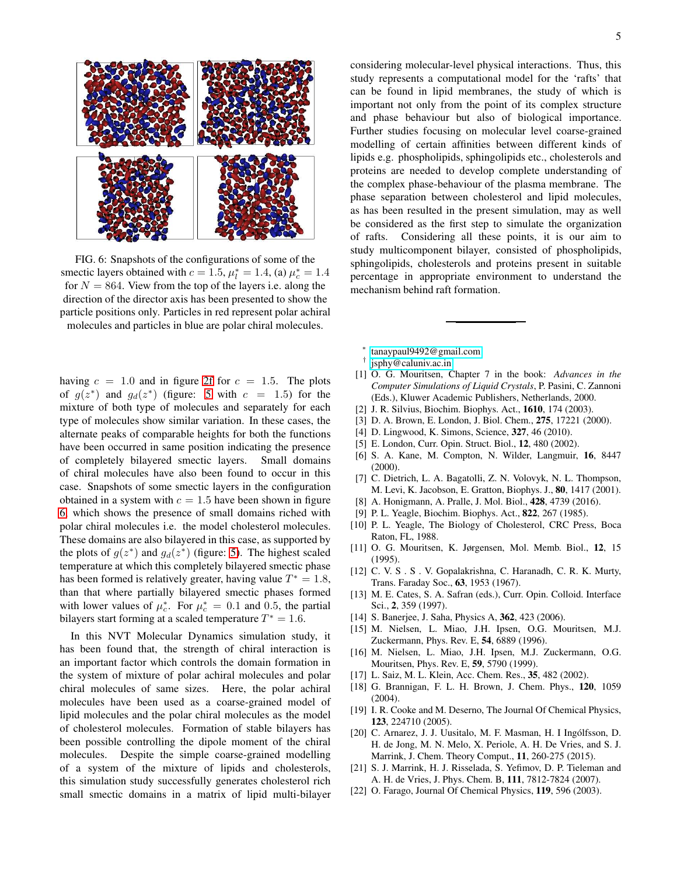<span id="page-4-15"></span>

FIG. 6: Snapshots of the configurations of some of the smectic layers obtained with  $c = 1.5$ ,  $\mu_l^* = 1.4$ , (a)  $\mu_c^* = 1.4$ for  $N = 864$ . View from the top of the layers i.e. along the direction of the director axis has been presented to show the particle positions only. Particles in red represent polar achiral molecules and particles in blue are polar chiral molecules.

having  $c = 1.0$  and in figure [2f](#page-2-1) for  $c = 1.5$ . The plots of  $g(z^*)$  and  $g_d(z^*)$  (figure: [5](#page-3-2) with  $c = 1.5$ ) for the mixture of both type of molecules and separately for each type of molecules show similar variation. In these cases, the alternate peaks of comparable heights for both the functions have been occurred in same position indicating the presence of completely bilayered smectic layers. Small domains of chiral molecules have also been found to occur in this case. Snapshots of some smectic layers in the configuration obtained in a system with  $c = 1.5$  have been shown in figure [6,](#page-4-15) which shows the presence of small domains riched with polar chiral molecules i.e. the model cholesterol molecules. These domains are also bilayered in this case, as supported by the plots of  $g(z^*)$  and  $g_d(z^*)$  (figure: [5\)](#page-3-2). The highest scaled temperature at which this completely bilayered smectic phase has been formed is relatively greater, having value  $T^* = 1.8$ , than that where partially bilayered smectic phases formed with lower values of  $\mu_c^*$ . For  $\mu_c^* = 0.1$  and 0.5, the partial bilayers start forming at a scaled temperature  $T^* = 1.6$ .

In this NVT Molecular Dynamics simulation study, it has been found that, the strength of chiral interaction is an important factor which controls the domain formation in the system of mixture of polar achiral molecules and polar chiral molecules of same sizes. Here, the polar achiral molecules have been used as a coarse-grained model of lipid molecules and the polar chiral molecules as the model of cholesterol molecules. Formation of stable bilayers has been possible controlling the dipole moment of the chiral molecules. Despite the simple coarse-grained modelling of a system of the mixture of lipids and cholesterols, this simulation study successfully generates cholesterol rich small smectic domains in a matrix of lipid multi-bilayer considering molecular-level physical interactions. Thus, this study represents a computational model for the 'rafts' that can be found in lipid membranes, the study of which is important not only from the point of its complex structure and phase behaviour but also of biological importance. Further studies focusing on molecular level coarse-grained modelling of certain affinities between different kinds of lipids e.g. phospholipids, sphingolipids etc., cholesterols and proteins are needed to develop complete understanding of the complex phase-behaviour of the plasma membrane. The phase separation between cholesterol and lipid molecules, as has been resulted in the present simulation, may as well be considered as the first step to simulate the organization of rafts. Considering all these points, it is our aim to study multicomponent bilayer, consisted of phospholipids, sphingolipids, cholesterols and proteins present in suitable percentage in appropriate environment to understand the mechanism behind raft formation.

- <span id="page-4-0"></span>∗ [tanaypaul9492@gmail.com](mailto:tanaypaul9492@gmail.com)
- <span id="page-4-1"></span>† [jsphy@caluniv.ac.in](mailto:jsphy@caluniv.ac.in)
- <span id="page-4-2"></span>[1] O. G. Mouritsen, Chapter 7 in the book: *Advances in the Computer Simulations of Liquid Crystals*, P. Pasini, C. Zannoni (Eds.), Kluwer Academic Publishers, Netherlands, 2000.
- <span id="page-4-3"></span>[2] J. R. Silvius, Biochim. Biophys. Act., 1610, 174 (2003).
- <span id="page-4-4"></span>[3] D. A. Brown, E. London, J. Biol. Chem., 275, 17221 (2000).
- <span id="page-4-5"></span>[4] D. Lingwood, K. Simons, Science, 327, 46 (2010).
- <span id="page-4-6"></span>[5] E. London, Curr. Opin. Struct. Biol., 12, 480 (2002).
- [6] S. A. Kane, M. Compton, N. Wilder, Langmuir, 16, 8447 (2000).
- [7] C. Dietrich, L. A. Bagatolli, Z. N. Volovyk, N. L. Thompson, M. Levi, K. Jacobson, E. Gratton, Biophys. J., 80, 1417 (2001).
- <span id="page-4-7"></span>[8] A. Honigmann, A. Pralle, J. Mol. Biol., 428, 4739 (2016).
- <span id="page-4-8"></span>[9] P. L. Yeagle, Biochim. Biophys. Act., 822, 267 (1985).
- [10] P. L. Yeagle, The Biology of Cholesterol, CRC Press, Boca Raton, FL, 1988.
- <span id="page-4-9"></span>[11] O. G. Mouritsen, K. Jørgensen, Mol. Memb. Biol., 12, 15 (1995).
- <span id="page-4-10"></span>[12] C. V. S. S. V. Gopalakrishna, C. Haranadh, C. R. K. Murty, Trans. Faraday Soc., 63, 1953 (1967).
- <span id="page-4-11"></span>[13] M. E. Cates, S. A. Safran (eds.), Curr. Opin. Colloid. Interface Sci., 2, 359 (1997).
- <span id="page-4-12"></span>[14] S. Banerjee, J. Saha, Physics A, 362, 423 (2006).
- [15] M. Nielsen, L. Miao, J.H. Ipsen, O.G. Mouritsen, M.J. Zuckermann, Phys. Rev. E, 54, 6889 (1996).
- <span id="page-4-13"></span>[16] M. Nielsen, L. Miao, J.H. Ipsen, M.J. Zuckermann, O.G. Mouritsen, Phys. Rev. E, 59, 5790 (1999).
- <span id="page-4-14"></span>[17] L. Saiz, M. L. Klein, Acc. Chem. Res., 35, 482 (2002).
- [18] G. Brannigan, F. L. H. Brown, J. Chem. Phys., 120, 1059 (2004).
- [19] I. R. Cooke and M. Deserno, The Journal Of Chemical Physics, 123, 224710 (2005).
- [20] C. Arnarez, J. J. Uusitalo, M. F. Masman, H. I Ingólfsson, D. H. de Jong, M. N. Melo, X. Periole, A. H. De Vries, and S. J. Marrink, J. Chem. Theory Comput., 11, 260-275 (2015).
- [21] S. J. Marrink, H. J. Risselada, S. Yefimov, D. P. Tieleman and A. H. de Vries, J. Phys. Chem. B, 111, 7812-7824 (2007).
- [22] O. Farago, Journal Of Chemical Physics, 119, 596 (2003).